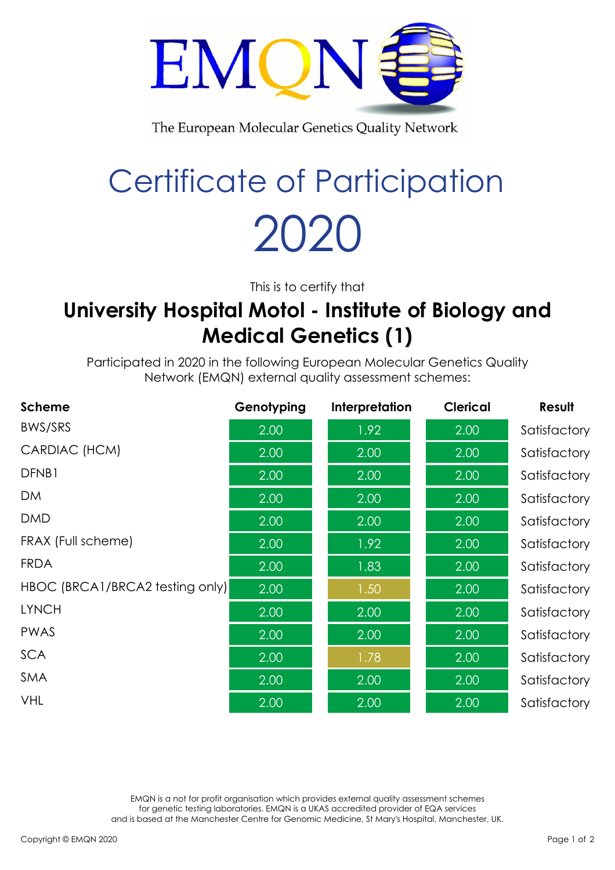

The European Molecular Genetics Quality Network

## Certificate of Participation 2020

This is to certify that

## **University Hospital Motol - Institute of Biology and Medical Genetics (1)**

Participated in 2020 in the following European Molecular Genetics Quality Network (EMQN) external quality assessment schemes:

| <b>Scheme</b>                   | Genotyping | Interpretation | <b>Clerical</b> | Result       |
|---------------------------------|------------|----------------|-----------------|--------------|
| BWS/SRS                         | 2.00       | 1.92           | 2.00            | Satisfactory |
| CARDIAC (HCM)                   | 2.00       | 2.00           | 2.00            | Satisfactory |
| DFNB1                           | 2.00       | 2.00           | 2.00            | Satisfactory |
| <b>DM</b>                       | 2.00       | 2.00           | 2.00            | Satisfactory |
| <b>DMD</b>                      | 2.00       | 2.00           | 2.00            | Satisfactory |
| FRAX (Full scheme)              | 2.00       | 1.92           | 2.00            | Satisfactory |
| <b>FRDA</b>                     | 2.00       | 1.83           | 2.00            | Satisfactory |
| HBOC (BRCA1/BRCA2 testing only) | 2.00       | 1.50           | 2.00            | Satisfactory |
| <b>LYNCH</b>                    | 2.00       | 2.00           | 2.00            | Satisfactory |
| <b>PWAS</b>                     | 2.00       | 2.00           | 2.00            | Satisfactory |
| <b>SCA</b>                      | 2.00       | 1.78           | 2.00            | Satisfactory |
| SMA                             | 2.00       | 2.00           | 2.00            | Satisfactory |
| <b>VHL</b>                      | 2.00       | 2.00           | 2.00            | Satisfactory |

EMQN is a not for profit organisation which provides external quality assessment schemes for genetic testing laboratories. EMQN is a UKAS accredited provider of EQA services and is based at the Manchester Centre for Genomic Medicine, St Mary's Hospital, Manchester, UK.